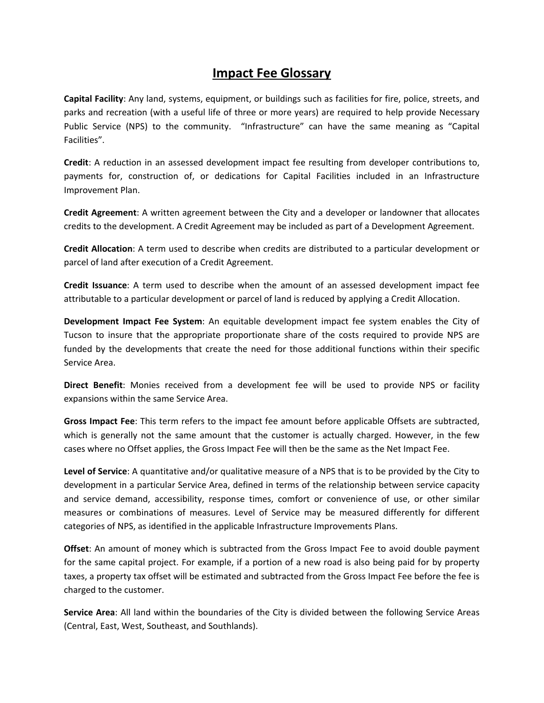## **Impact Fee Glossary**

**Capital Facility**: Any land, systems, equipment, or buildings such as facilities for fire, police, streets, and parks and recreation (with a useful life of three or more years) are required to help provide Necessary Public Service (NPS) to the community. "Infrastructure" can have the same meaning as "Capital Facilities".

**Credit**: A reduction in an assessed development impact fee resulting from developer contributions to, payments for, construction of, or dedications for Capital Facilities included in an Infrastructure Improvement Plan.

**Credit Agreement**: A written agreement between the City and a developer or landowner that allocates credits to the development. A Credit Agreement may be included as part of a Development Agreement.

**Credit Allocation**: A term used to describe when credits are distributed to a particular development or parcel of land after execution of a Credit Agreement.

**Credit Issuance**: A term used to describe when the amount of an assessed development impact fee attributable to a particular development or parcel of land is reduced by applying a Credit Allocation.

**Development Impact Fee System**: An equitable development impact fee system enables the City of Tucson to insure that the appropriate proportionate share of the costs required to provide NPS are funded by the developments that create the need for those additional functions within their specific Service Area.

**Direct Benefit**: Monies received from a development fee will be used to provide NPS or facility expansions within the same Service Area.

**Gross Impact Fee**: This term refers to the impact fee amount before applicable Offsets are subtracted, which is generally not the same amount that the customer is actually charged. However, in the few cases where no Offset applies, the Gross Impact Fee will then be the same as the Net Impact Fee.

**Level of Service**: A quantitative and/or qualitative measure of a NPS that is to be provided by the City to development in a particular Service Area, defined in terms of the relationship between service capacity and service demand, accessibility, response times, comfort or convenience of use, or other similar measures or combinations of measures. Level of Service may be measured differently for different categories of NPS, as identified in the applicable Infrastructure Improvements Plans.

**Offset**: An amount of money which is subtracted from the Gross Impact Fee to avoid double payment for the same capital project. For example, if a portion of a new road is also being paid for by property taxes, a property tax offset will be estimated and subtracted from the Gross Impact Fee before the fee is charged to the customer.

**Service Area**: All land within the boundaries of the City is divided between the following Service Areas (Central, East, West, Southeast, and Southlands).